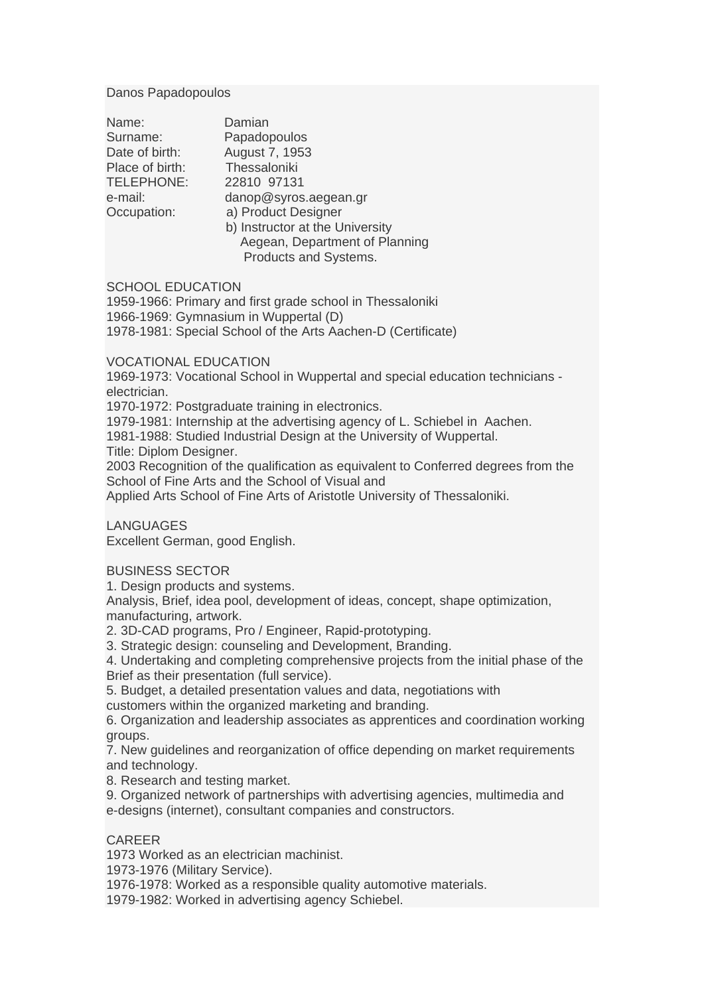#### Danos Papadopoulos

| August 7, 1953<br>Thessaloniki<br>Place of birth:<br>TELEPHONE:<br>22810 97131<br>danop@syros.aegean.gr<br>e-mail:<br>a) Product Designer<br>Occupation:<br>b) Instructor at the University<br>Aegean, Department of Planning |  |
|-------------------------------------------------------------------------------------------------------------------------------------------------------------------------------------------------------------------------------|--|
| Products and Systems.                                                                                                                                                                                                         |  |

### SCHOOL EDUCATION

1959-1966: Primary and first grade school in Thessaloniki 1966-1969: Gymnasium in Wuppertal (D) 1978-1981: Special School of the Arts Aachen-D (Certificate)

## VOCATIONAL EDUCATION

1969-1973: Vocational School in Wuppertal and special education technicians electrician.

1970-1972: Postgraduate training in electronics.

1979-1981: Internship at the advertising agency of L. Schiebel in Aachen.

1981-1988: Studied Industrial Design at the University of Wuppertal.

Title: Diplom Designer.

2003 Recognition of the qualification as equivalent to Conferred degrees from the School of Fine Arts and the School of Visual and

Applied Arts School of Fine Arts of Aristotle University of Thessaloniki.

**LANGUAGES** 

Excellent German, good English.

### BUSINESS SECTOR

1. Design products and systems.

Analysis, Brief, idea pool, development of ideas, concept, shape optimization, manufacturing, artwork.

2. 3D-CAD programs, Pro / Engineer, Rapid-prototyping.

3. Strategic design: counseling and Development, Branding.

4. Undertaking and completing comprehensive projects from the initial phase of the Brief as their presentation (full service).

5. Budget, a detailed presentation values and data, negotiations with

customers within the organized marketing and branding.

6. Organization and leadership associates as apprentices and coordination working groups.

7. New guidelines and reorganization of office depending on market requirements and technology.

8. Research and testing market.

9. Organized network of partnerships with advertising agencies, multimedia and e-designs (internet), consultant companies and constructors.

# **CARFFR**

1973 Worked as an electrician machinist.

1973-1976 (Military Service).

1976-1978: Worked as a responsible quality automotive materials.

1979-1982: Worked in advertising agency Schiebel.